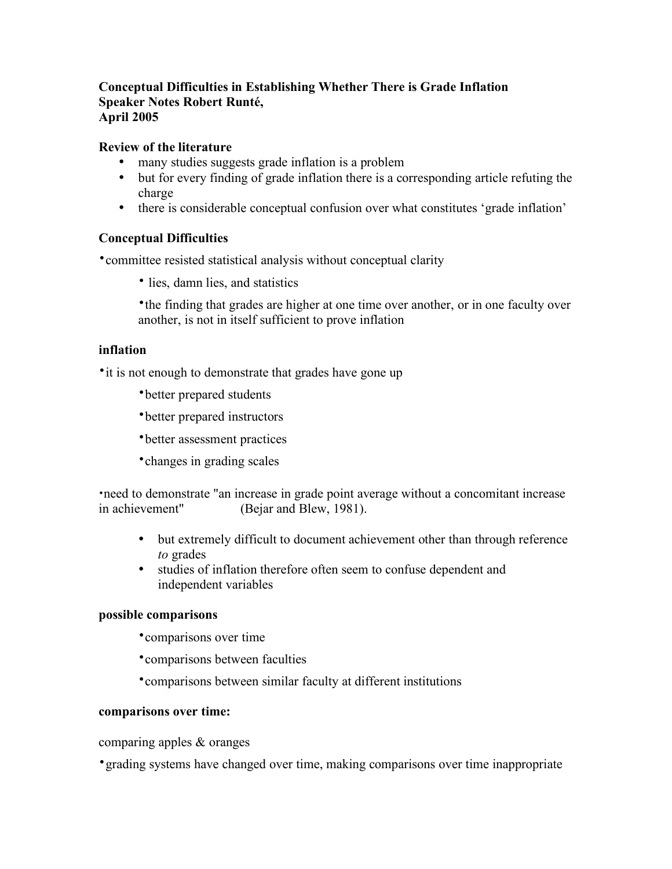# **Conceptual Difficulties in Establishing Whether There is Grade Inflation Speaker Notes Robert Runté, April 2005**

# **Review of the literature**

- many studies suggests grade inflation is a problem
- but for every finding of grade inflation there is a corresponding article refuting the charge
- there is considerable conceptual confusion over what constitutes 'grade inflation'

#### **Conceptual Difficulties**

•committee resisted statistical analysis without conceptual clarity

• lies, damn lies, and statistics

•the finding that grades are higher at one time over another, or in one faculty over another, is not in itself sufficient to prove inflation

# **inflation**

• it is not enough to demonstrate that grades have gone up

•better prepared students

•better prepared instructors

•better assessment practices

•changes in grading scales

•need to demonstrate "an increase in grade point average without a concomitant increase in achievement" (Bejar and Blew, 1981).

- but extremely difficult to document achievement other than through reference *to* grades
- studies of inflation therefore often seem to confuse dependent and independent variables

#### **possible comparisons**

•comparisons over time

•comparisons between faculties

•comparisons between similar faculty at different institutions

#### **comparisons over time:**

comparing apples & oranges

•grading systems have changed over time, making comparisons over time inappropriate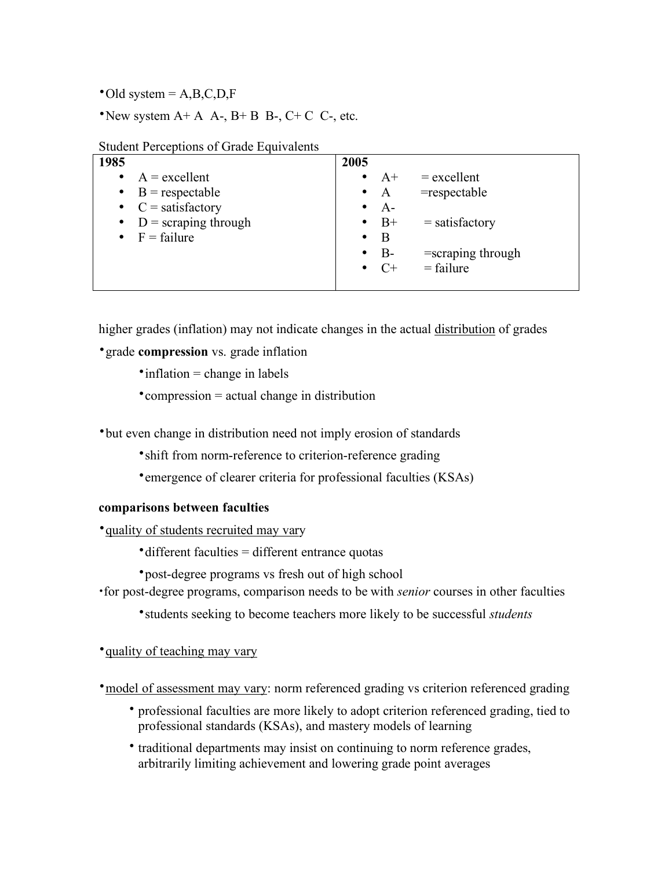$\textdegree$ Old system = A,B,C,D,F

•New system  $A+A$   $A-A$   $B+B$   $B-A-C+C$   $C-A$ , etc.

| Student I creeptions of Grade Equivalents |                                            |
|-------------------------------------------|--------------------------------------------|
| 1985                                      | 2005                                       |
| $A = \text{excellent}$                    | $=$ excellent<br>$\bullet$ $A^+$           |
| $\bullet$ B = respectable                 | $=$ respectable<br>$\bullet$ A             |
| • $C =$ satisfactory                      | $\bullet$ A-                               |
| • $D =$ scraping through                  | $\bullet$ B+<br>$=$ satisfactory           |
| $\bullet$ F = failure                     | B<br>$\bullet$                             |
|                                           | $B -$<br>$=$ scraping through<br>$\bullet$ |
|                                           | $\bullet$ C+<br>$=$ failure                |
|                                           |                                            |

Student Perceptions of Grade Equivalents

higher grades (inflation) may not indicate changes in the actual distribution of grades

•grade **compression** vs. grade inflation

 $\cdot$  inflation = change in labels

•compression = actual change in distribution

•but even change in distribution need not imply erosion of standards

•shift from norm-reference to criterion-reference grading

•emergence of clearer criteria for professional faculties (KSAs)

## **comparisons between faculties**

•quality of students recruited may vary

•different faculties = different entrance quotas

•post-degree programs vs fresh out of high school

•for post-degree programs, comparison needs to be with *senior* courses in other faculties

•students seeking to become teachers more likely to be successful *students*

•quality of teaching may vary

• model of assessment may vary: norm referenced grading vs criterion referenced grading

- professional faculties are more likely to adopt criterion referenced grading, tied to professional standards (KSAs), and mastery models of learning
- traditional departments may insist on continuing to norm reference grades, arbitrarily limiting achievement and lowering grade point averages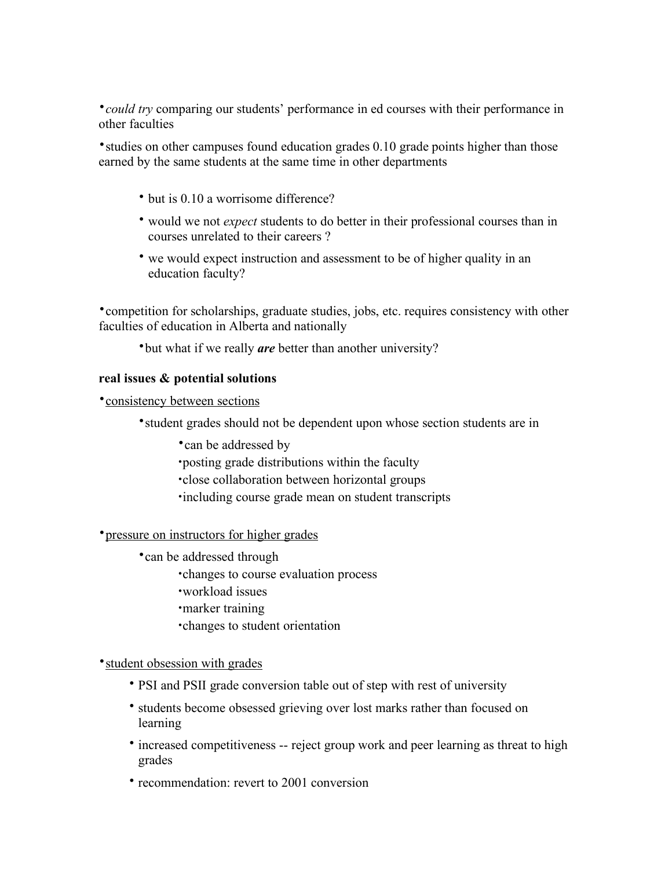•*could try* comparing our students' performance in ed courses with their performance in other faculties

•studies on other campuses found education grades 0.10 grade points higher than those earned by the same students at the same time in other departments

- but is 0.10 a worrisome difference?
- would we not *expect* students to do better in their professional courses than in courses unrelated to their careers ?
- we would expect instruction and assessment to be of higher quality in an education faculty?

•competition for scholarships, graduate studies, jobs, etc. requires consistency with other faculties of education in Alberta and nationally

•but what if we really *are* better than another university?

# **real issues & potential solutions**

•consistency between sections

•student grades should not be dependent upon whose section students are in

- •can be addressed by
- •posting grade distributions within the faculty
- •close collaboration between horizontal groups
- •including course grade mean on student transcripts

#### •pressure on instructors for higher grades

- •can be addressed through
	- •changes to course evaluation process
	- •workload issues
	- •marker training
	- •changes to student orientation

#### • student obsession with grades

- PSI and PSII grade conversion table out of step with rest of university
- students become obsessed grieving over lost marks rather than focused on learning
- increased competitiveness -- reject group work and peer learning as threat to high grades
- recommendation: revert to 2001 conversion